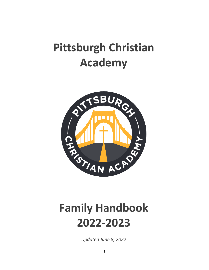# **Pittsburgh Christian Academy**



# **Family Handbook 2022-2023**

*Updated June 8, 2022*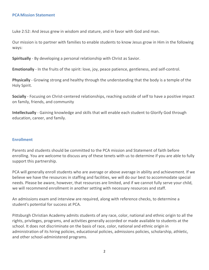#### **PCA Mission Statement**

Luke 2:52: And Jesus grew in wisdom and stature, and in favor with God and man.

Our mission is to partner with families to enable students to know Jesus grow in Him in the following ways:

**Spiritually** - By developing a personal relationship with Christ as Savior.

**Emotionally** - In the fruits of the spirit: love, joy, peace patience, gentleness, and self-control.

**Physically** - Growing strong and healthy through the understanding that the body is a temple of the Holy Spirit.

**Socially** - Focusing on Christ-centered relationships, reaching outside of self to have a positive impact on family, friends, and community

**Intellectually** - Gaining knowledge and skills that will enable each student to Glorify God through education, career, and family.

#### **Enrollment**

Parents and students should be committed to the PCA mission and Statement of faith before enrolling. You are welcome to discuss any of these tenets with us to determine if you are able to fully support this partnership.

PCA will generally enroll students who are average or above average in ability and achievement. If we believe we have the resources in staffing and facilities, we will do our best to accommodate special needs. Please be aware, however, that resources are limited, and if we cannot fully serve your child, we will recommend enrollment in another setting with necessary resources and staff.

An admissions exam and interview are required, along with reference checks, to determine a student's potential for success at PCA.

Pittsburgh Christian Academy admits students of any race, color, national and ethnic origin to all the rights, privileges, programs, and activities generally accorded or made available to students at the school. It does not discriminate on the basis of race, color, national and ethnic origin in administration of its hiring policies, educational policies, admissions policies, scholarship, athletic, and other school-administered programs.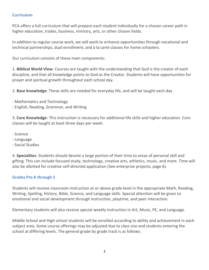## **Curriculum**

PCA offers a full curriculum that will prepare each student individually for a chosen career path in higher education, trades, business, ministry, arts, or other chosen fields.

In addition to regular course work, we will work to enhance opportunities through vocational and technical partnerships, dual enrollment, and à la carte classes for home schoolers.

Our curriculum consists of these main components:

1. **Biblical World View**: Courses are taught with the understanding that God is the creator of each discipline, and that all knowledge points to God as the Creator. Students will have opportunities for prayer and spiritual growth throughout each school day.

2. **Base knowledge**: These skills are needed for everyday life, and will be taught each day

- Mathematics and Technology
- English, Reading, Grammar, and Writing

3. **Core Knowledge**: This instruction is necessary for additional life skills and higher education. Core classes will be taught at least three days per week:

- Science
- Language
- Social Studies

4. **Specialties**: Students should devote a large portion of their time to areas of personal skill and gifting. This can include focused study, technology, creative arts, athletics, music, and more. Time will also be allotted for creative self-directed application (See enterprise projects, page 6).

# **Grades Pre-K through 5**

Students will receive classroom instruction at or above grade level in the appropriate Math, Reading, Writing, Spelling, History, Bible, Science, and Language skills. Special attention will be given to emotional and social development through instruction, playtime, and peer interaction.

Elementary students will also receive special weekly instruction in Art, Music, PE, and Language.

Middle School and High school students will be enrolled according to ability and achievement in each subject area. Some course offerings may be adjusted due to class size and students entering the school at differing levels. The general grade by grade track is as follows: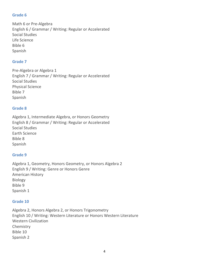# **Grade 6**

Math 6 or Pre-Algebra English 6 / Grammar / Writing: Regular or Accelerated Social Studies Life Science Bible 6 Spanish

## **Grade 7**

Pre-Algebra or Algebra 1 English 7 / Grammar / Writing: Regular or Accelerated Social Studies Physical Science Bible 7 Spanish

## **Grade 8**

Algebra 1, Intermediate Algebra, or Honors Geometry English 8 / Grammar / Writing: Regular or Accelerated Social Studies Earth Science Bible 8 Spanish

## **Grade 9**

Algebra 1, Geometry, Honors Geometry, or Honors Algebra 2 English 9 / Writing: Genre or Honors Genre American History Biology Bible 9 Spanish 1

#### **Grade 10**

Algebra 2, Honors Algebra 2, or Honors Trigonometry English 10 / Writing: Western Literature or Honors Western Literature Western Civilization Chemistry Bible 10 Spanish 2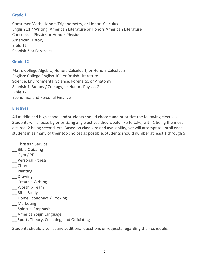# **Grade 11**

Consumer Math, Honors Trigonometry, or Honors Calculus English 11 / Writing: American Literature or Honors American Literature Conceptual Physics or Honors Physics American History Bible 11 Spanish 3 or Forensics

# **Grade 12**

Math: College Algebra, Honors Calculus 1, or Honors Calculus 2 English: College English 101 or British Literature Science: Environmental Science, Forensics, or Anatomy Spanish 4, Botany / Zoology, or Honors Physics 2 Bible 12 Economics and Personal Finance

# **Electives**

All middle and high school and students should choose and prioritize the following electives. Students will choose by prioritizing any electives they would like to take, with 1 being the most desired, 2 being second, etc. Based on class size and availability, we will attempt to enroll each student in as many of their top choices as possible. Students should number at least 1 through 5.

- \_\_ Christian Service
- \_\_ Bible Quizzing
- \_\_ Gym / PE
- \_\_ Personal Fitness
- \_\_ Chorus
- \_\_ Painting
- \_\_ Drawing
- \_\_ Creative Writing
- \_\_ Worship Team
- \_\_ Bible Study
- \_\_ Home Economics / Cooking
- \_\_ Marketing
- \_\_ Spiritual Emphasis
- \_\_ American Sign Language
- \_\_ Sports Theory, Coaching, and Officiating

Students should also list any additional questions or requests regarding their schedule.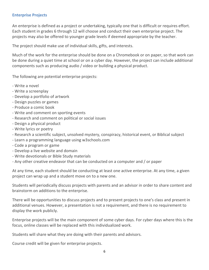## **Enterprise Projects**

An enterprise is defined as a project or undertaking, typically one that is difficult or requires effort. Each student in grades 6 through 12 will choose and conduct their own enterprise project. The projects may also be offered to younger grade levels if deemed appropriate by the teacher.

The project should make use of individual skills, gifts, and interests.

Much of the work for the enterprise should be done on a Chromebook or on paper, so that work can be done during a quiet time at school or on a cyber day. However, the project can include additional components such as producing audio / video or building a physical product.

The following are potential enterprise projects:

- Write a novel
- Write a screenplay
- Develop a portfolio of artwork
- Design puzzles or games
- Produce a comic book
- Write and comment on sporting events
- Research and comment on political or social issues
- Design a physical product
- Write lyrics or poetry
- Research a scientific subject, unsolved mystery, conspiracy, historical event, or Biblical subject
- Learn a programming language using w3schools.com
- Code a program or game
- Develop a live website and domain
- Write devotionals or Bible Study materials
- Any other creative endeavor that can be conducted on a computer and / or paper

At any time, each student should be conducting at least one active enterprise. At any time, a given project can wrap up and a student move on to a new one.

Students will periodically discuss projects with parents and an advisor in order to share content and brainstorm on additions to the enterprise.

There will be opportunities to discuss projects and to present projects to one's class and present in additional venues. However, a presentation is not a requirement, and there is no requirement to display the work publicly.

Enterprise projects will be the main component of some cyber days. For cyber days where this is the focus, online classes will be replaced with this individualized work.

Students will share what they are doing with their parents and advisors.

Course credit will be given for enterprise projects.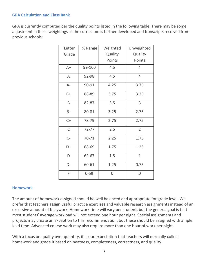## **GPA Calculation and Class Rank**

GPA is currently computed per the quality points listed in the following table. There may be some adjustment in these weightings as the curriculum is further developed and transcripts received from previous schools:

| Letter      | % Range   | Weighted | Unweighted     |
|-------------|-----------|----------|----------------|
| Grade       |           | Quality  | Quality        |
|             |           | Points   | Points         |
| $A+$        | 99-100    | 4.5      | $\overline{4}$ |
| A           | 92-98     | 4.5      | 4              |
| $A -$       | 90-91     | 4.25     | 3.75           |
| $B+$        | 88-89     | 3.75     | 3.25           |
| B           | 82-87     | 3.5      | 3              |
| $B -$       | 80-81     | 3.25     | 2.75           |
| $C+$        | 78-79     | 2.75     | 2.75           |
| $\mathsf C$ | $72 - 77$ | 2.5      | $\overline{2}$ |
| $C-$        | 70-71     | 2.25     | 1.75           |
| D+          | 68-69     | 1.75     | 1.25           |
| D           | 62-67     | 1.5      | $\mathbf{1}$   |
| D-          | 60-61     | 1.25     | 0.75           |
| F           | $0 - 59$  | 0        | 0              |

#### **Homework**

The amount of homework assigned should be well balanced and appropriate for grade level. We prefer that teachers assign useful practice exercises and valuable research assignments instead of an excessive amount of busywork. Homework time will vary per student, but the general goal is that most students' average workload will not exceed one hour per night. Special assignments and projects may create an exception to this recommendation, but these should be assigned with ample lead time. Advanced course work may also require more than one hour of work per night.

With a focus on quality over quantity, it is our expectation that teachers will normally collect homework and grade it based on neatness, completeness, correctness, and quality.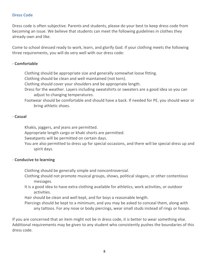## **Dress Code**

Dress code is often subjective. Parents and students, please do your best to keep dress code from becoming an issue. We believe that students can meet the following guidelines in clothes they already own and like.

Come to school dressed ready to work, learn, and glorify God. If your clothing meets the following three requirements, you will do very well with our dress code:

#### - **Comfortable**

Clothing should be appropriate size and generally somewhat loose fitting.

Clothing should be clean and well maintained (not torn).

Clothing should cover your shoulders and be appropriate length.

Dress for the weather. Layers including sweatshirts or sweaters are a good idea so you can adjust to changing temperatures.

Footwear should be comfortable and should have a back. If needed for PE, you should wear or bring athletic shoes.

## - **Casual**

Khakis, joggers, and jeans are permitted.

Appropriate length cargo or khaki shorts are permitted.

Sweatpants will be permitted on certain days.

You are also permitted to dress up for special occasions, and there will be special dress up and spirit days.

## - **Conducive to learning**

Clothing should be generally simple and noncontroversial.

- Clothing should not promote musical groups, shows, political slogans, or other contentious messages.
- It is a good idea to have extra clothing available for athletics, work activities, or outdoor activities.

Hair should be clean and well kept, and for boys a reasonable length.

Piercings should be kept to a minimum, and you may be asked to conceal them, along with any tattoos. For any nose or body piercings, wear small studs instead of rings or hoops.

If you are concerned that an item might not be in dress code, it is better to wear something else. Additional requirements may be given to any student who consistently pushes the boundaries of this dress code.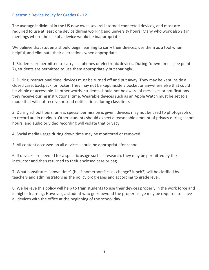## **Electronic Device Policy for Grades 6 - 12**

The average individual in the US now owns several interned connected devices, and most are required to use at least one device during working and university hours. Many who work also sit in meetings where the use of a device would be inappropriate.

We believe that students should begin learning to carry their devices, use them as a tool when helpful, and eliminate their distractions when appropriate.

1. Students are permitted to carry cell phones or electronic devices. During "down time" (see point 7), students are permitted to use them appropriately but sparingly.

2. During instructional time, devices must be turned off and put away. They may be kept inside a closed case, backpack, or locker. They may not be kept inside a pocket or anywhere else that could be visible or accessible. In other words, students should not be aware of messages or notifications they receive during instructional time. Wearable devices such as an Apple Watch must be set to a mode that will not receive or send notifications during class time.

3. During school hours, unless special permission is given, devices may not be used to photograph or to record audio or video. Other students should expect a reasonable amount of privacy during school hours, and audio or video recording will violate that privacy.

4. Social media usage during down time may be monitored or removed.

5. All content accessed on all devices should be appropriate for school.

6. If devices are needed for a specific usage such as research, they may be permitted by the instructor and then returned to their enclosed case or bag.

7. What constitutes "down time" (bus? homeroom? class change? lunch?) will be clarified by teachers and administrators as the policy progresses and according to grade level.

8. We believe this policy will help to train students to use their devices properly in the work force and in higher learning. However, a student who goes beyond the proper usage may be required to leave all devices with the office at the beginning of the school day.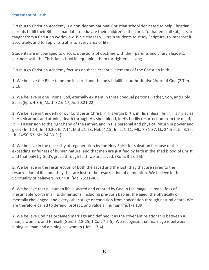## **Statement of Faith**

Pittsburgh Christian Academy is a non-denominational Christian school dedicated to help Christian parents fulfill their Biblical mandate to educate their children in the Lord. To that end, all subjects are taught from a Christian worldview. Bible classes will train students to study Scripture, to interpret it accurately, and to apply its truths to every area of life.

Students are encouraged to discuss questions of doctrine with their parents and church leaders, partners with the Christian school in equipping them for righteous living.

Pittsburgh Christian Academy focuses on these essential elements of the Christian faith:

**1.** We believe the Bible to be the inspired and the only infallible, authoritative Word of God (2 Tim. 3:16).

**2.** We believe in one Triune God, eternally existent in three coequal persons: Father, Son, and Holy Spirit (Eph. 4:3-6; Matt. 3:16-17; Jn. 20:21-22)

**3.** We believe in the deity of our Lord Jesus Christ, in His virgin birth, in His sinless life, in His miracles, in His vicarious and atoning death through His shed blood, in His bodily resurrection from the dead, in His ascension to the right hand of the Father, and in His personal and physical return in power and glory (Jn. 1:14; Jn. 10:30; Is. 7:14; Matt. 1:23; Heb. 4:15; Jn. 2: 1-11; Mk. 7:31-37; Lk. 24:5-6; Jn. 3:16; Lk. 24:50-53; Mt. 24:30-31).

**4**. We believe in the necessity of regeneration by the Holy Spirit for salvation because of the exceeding sinfulness of human nature, and that men are justified by faith in the shed blood of Christ and that only by God's grace through faith we are saved. (Rom. 3:23-26).

**5.** We believe in the resurrection of both the saved and the lost: they that are saved to the resurrection of life, and they that are lost to the resurrection of damnation. We believe in the Spirituality of believers in Christ. (Mt. 25:31-46).

**6.** We believe that all human life is sacred and created by God in His image. Human life is of inestimable worth in all its dimensions, including pre-born babies, the aged, the physically or mentally challenged, and every other stage or condition from conception through natural death. We are therefore called to defend, protect, and value all human life. (Ps 139)

**7.** We believe God has ordained marriage and defined it as the covenant relationship between a man, a woman, and Himself (Gen. 2: 18-25; 1 Cor. 7:2-5). We recognize that marriage is between a biological man and a biological woman (Heb. 13:4).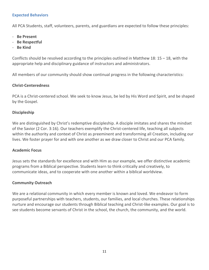## **Expected Behaviors**

All PCA Students, staff, volunteers, parents, and guardians are expected to follow these principles:

- **Be Present**
- **Be Respectful**
- **Be Kind**

Conflicts should be resolved according to the principles outlined in Matthew 18:  $15 - 18$ , with the appropriate help and disciplinary guidance of instructors and administrators.

All members of our community should show continual progress in the following characteristics:

## **Christ-Centeredness**

PCA is a Christ-centered school. We seek to know Jesus, be led by His Word and Spirit, and be shaped by the Gospel.

## **Discipleship**

We are distinguished by Christ's redemptive discipleship. A disciple imitates and shares the mindset of the Savior (2 Cor. 3:16). Our teachers exemplify the Christ-centered life, teaching all subjects within the authority and context of Christ as preeminent and transforming all Creation, including our lives. We foster prayer for and with one another as we draw closer to Christ and our PCA family.

#### **Academic Focus**

Jesus sets the standards for excellence and with Him as our example, we offer distinctive academic programs from a Biblical perspective. Students learn to think critically and creatively, to communicate ideas, and to cooperate with one another within a biblical worldview.

## **Community Outreach**

We are a relational community in which every member is known and loved. We endeavor to form purposeful partnerships with teachers, students, our families, and local churches. These relationships nurture and encourage our students through Biblical teaching and Christ-like examples. Our goal is to see students become servants of Christ in the school, the church, the community, and the world.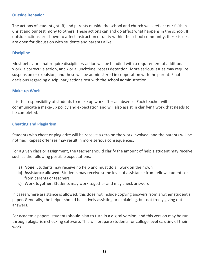## **Outside Behavior**

The actions of students, staff, and parents outside the school and church walls reflect our faith in Christ and our testimony to others. These actions can and do affect what happens in the school. If outside actions are shown to affect instruction or unity within the school community, these issues are open for discussion with students and parents alike.

#### **Discipline**

Most behaviors that require disciplinary action will be handled with a requirement of additional work, a corrective action, and / or a lunchtime, recess detention. More serious issues may require suspension or expulsion, and these will be administered in cooperation with the parent. Final decisions regarding disciplinary actions rest with the school administration.

#### **Make-up Work**

It is the responsibility of students to make up work after an absence. Each teacher will communicate a make-up policy and expectation and will also assist in clarifying work that needs to be completed.

## **Cheating and Plagiarism**

Students who cheat or plagiarize will be receive a zero on the work involved, and the parents will be notified. Repeat offenses may result in more serious consequences.

For a given class or assignment, the teacher should clarify the amount of help a student may receive, such as the following possible expectations:

- **a) None**: Students may receive no help and must do all work on their own
- **b) Assistance allowed**: Students may receive some level of assistance from fellow students or from parents or teachers
- **c) Work together**: Students may work together and may check answers

In cases where assistance is allowed, this does not include copying answers from another student's paper. Generally, the helper should be actively assisting or explaining, but not freely giving out answers.

For academic papers, students should plan to turn in a digital version, and this version may be run through plagiarism checking software. This will prepare students for college level scrutiny of their work.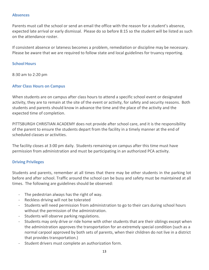#### **Absences**

Parents must call the school or send an email the office with the reason for a student's absence, expected late arrival or early dismissal. Please do so before 8:15 so the student will be listed as such on the attendance roster.

If consistent absence or lateness becomes a problem, remediation or discipline may be necessary. Please be aware that we are required to follow state and local guidelines for truancy reporting.

#### **School Hours**

8:30 am to 2:20 pm

#### **After Class Hours on Campus**

When students are on campus after class hours to attend a specific school event or designated activity, they are to remain at the site of the event or activity, for safety and security reasons. Both students and parents should know in advance the time and the place of the activity and the expected time of completion.

PITTSBURGH CHRISTIAN ACADEMY does not provide after school care, and it is the responsibility of the parent to ensure the students depart from the facility in a timely manner at the end of scheduled classes or activities.

The facility closes at 3:00 pm daily. Students remaining on campus after this time must have permission from administration and must be participating in an authorized PCA activity.

#### **Driving Privileges**

Students and parents, remember at all times that there may be other students in the parking lot before and after school. Traffic around the school can be busy and safety must be maintained at all times. The following are guidelines should be observed:

- The pedestrian always has the right of way.
- Reckless driving will not be tolerated
- Students will need permission from administration to go to their cars during school hours without the permission of the administration.
- Students will observe parking regulations.
- Students may only drive or ride home with other students that are their siblings except when the administration approves the transportation for an extremely special condition (such as a normal carpool approved by both sets of parents, when their children do not live in a district that provides transportation.)
- Student drivers must complete an authorization form.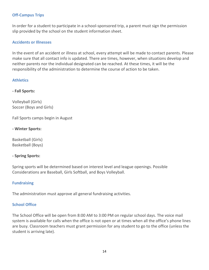## **Off-Campus Trips**

In order for a student to participate in a school-sponsored trip, a parent must sign the permission slip provided by the school on the student information sheet.

## **Accidents or Illnesses**

In the event of an accident or illness at school, every attempt will be made to contact parents. Please make sure that all contact info is updated. There are times, however, when situations develop and neither parents nor the individual designated can be reached. At these times, it will be the responsibility of the administration to determine the course of action to be taken.

## **Athletics**

**- Fall Sports:**

Volleyball (Girls) Soccer (Boys and Girls)

Fall Sports camps begin in August

**- Winter Sports:** 

Basketball (Girls) Basketball (Boys)

## **- Spring Sports:**

Spring sports will be determined based on interest level and league openings. Possible Considerations are Baseball, Girls Softball, and Boys Volleyball.

#### **Fundraising**

The administration must approve all general fundraising activities.

#### **School Office**

The School Office will be open from 8:00 AM to 3:00 PM on regular school days. The voice mail system is available for calls when the office is not open or at times when all the office's phone lines are busy. Classroom teachers must grant permission for any student to go to the office (unless the student is arriving late).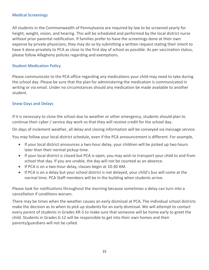## **Medical Screenings**

All students in the Commonwealth of Pennsylvania are required by law to be screened yearly for height, weight, vision, and hearing. This will be scheduled and performed by the local district nurse without prior parental notification. If families prefer to have the screenings done at their own expense by private physicians, they may do so by submitting a written request stating their intent to have it done privately to PCA as close to the first day of school as possible. As per vaccination status, please follow Allegheny policies regarding and exemptions.

## **Student Medication Policy**

Please communicate to the PCA office regarding any medications your child may need to take during the school day. Please be sure that the plan for administering the medication is communicated in writing or via email. Under no circumstances should any medication be made available to another student.

#### **Snow Days and Delays**

If it is necessary to close the school due to weather or other emergency, students should plan to continue their cyber / service day work so that they will receive credit for the school day.

On days of inclement weather, all delay and closing information will be conveyed via message service.

You may follow your local district schedule, even if the PCA announcement is different. For example,

- If your local district announces a two-hour delay, your children will be picked up two hours later than their normal pickup time.
- If your local district is closed but PCA is open, you may wish to transport your child to and from school that day. If you are unable, the day will not be counted as an absence.
- If PCA is on a two-hour delay, classes begin at 10:30 AM.
- If PCA is on a delay but your school district is not delayed, your child's bus will come at the normal time. PCA Staff members will be in the building when students arrive.

Please look for notifications throughout the morning because sometimes a delay can turn into a cancellation if conditions worsen.

There may be times when the weather causes an early dismissal at PCA. The individual school districts make the decision as to when to pick up students for an early dismissal. We will attempt to contact every parent of students in Grades KR-5 to make sure that someone will be home early to greet the child. Students in Grades 6-12 will be responsible to get into their own homes and their parents/guardians will not be called.